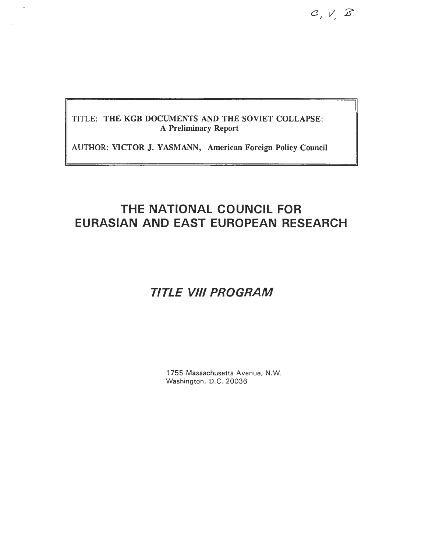$C, V, B$ 

### **TITLE : THE KGB DOCUMENTS AND THE SOVIET COLLAPSE : A Preliminary Report**

AUTHOR: VICTOR J. YASMANN, American Foreign Policy Council

## **THE NATIONAL COUNCIL FOR EURASIAN AND EAST EUROPEAN RESEARCH**

# *TITLE VIII PROGRA M*

1755 Massachusetts Avenue, N.W. Washington, D.C. 20036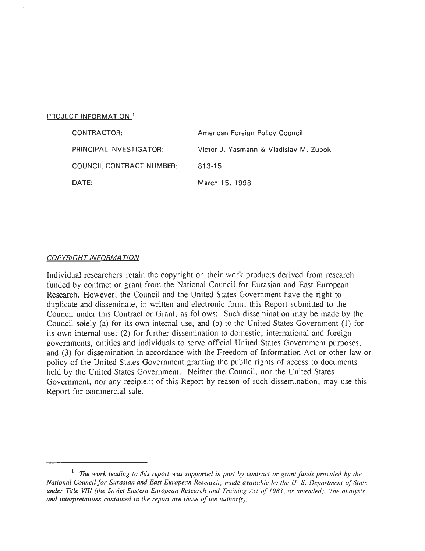#### PROJECT INFORMATION:<sup>1</sup>

| CONTRACTOR:              | American Foreign Policy Council        |
|--------------------------|----------------------------------------|
| PRINCIPAL INVESTIGATOR:  | Victor J. Yasmann & Vladislav M. Zubok |
| COUNCIL CONTRACT NUMBER: | 813-15                                 |
| DATE:                    | March 15, 1998                         |

#### **COPYRIGHT INFORMATION**

Individual researchers retain the copyright on their work products derived from research funded by contract or grant from the National Council for Eurasian and East European Research. However, the Council and the United States Government have the right to duplicate and disseminate, in written and electronic form, this Report submitted to the Council under this Contract or Grant, as follows: Such dissemination may be made by the Council solely (a) for its own internal use, and (b) to the United States Government (1) for its own internal use; (2) for further dissemination to domestic, international and foreign governments, entities and individuals to serve official United States Government purposes ; and (3) for dissemination in accordance with the Freedom of Information Act or other law or policy of the United States Government granting the public rights of access to documents held by the United States Government. Neither the Council, nor the United States Government, nor any recipient of this Report by reason of such dissemination, may use this Report for commercial sale.

<sup>&</sup>lt;sup>1</sup> The work leading to this report was supported in part by contract or grant funds provided by the *National Council for Eurasian and East European Research, made available by the U. S. Department of State under Title VIII (the Soviet-Eastern European Research and Training Act of 1983, as amended) . The analysis and interpretations contained in the report are those of the author(s).*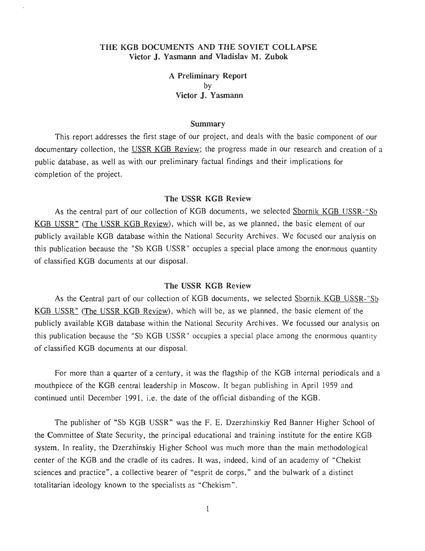#### THE KGB DOCUMENTS AND THE SOVIET COLLAPSE **Victor J. Yasmann and Vladislav M . Zubok**

**A Preliminary Report** by **Victor J. Yasmann**

#### **Summary**

This report addresses the first stage of our project, and deals with the basic component of our documentary collection, the USSR KGB Review; the progress made in our research and creation of a public database, as well as with our preliminary factual findings and their implications for completion of the project.

#### **The USSR KGB Review**

As the central part of our collection of KGB documents, we selected Sbornik KGB USSR-"Sb KGB USSR" (The USSR KGB Review), which will be, as we planned, the basic element of our publicly available KGB database within the National Security Archives. We focused our analysis on this publication because the "Sb KGB USSR" occupies a special place among the enormous quantity of classified KGB documents at our disposal .

#### **The USSR KGB Review**

As the Central part of our collection of KGB documents, we selected Sbornik KGB USSR-"Sb KGB USSR " (The USSR KGB Review), which will be, as we planned, the basic element of the publicly available KGB database within the National Security Archives. We focussed our analysis on this publication because the "Sb KGB USSR" occupies a special place among the enormous quantity of classified KGB documents at our disposal .

For more than a quarter of a century, it was the flagship of the KGB internal periodicals and a mouthpiece of the KGB central leadership in Moscow. It began publishing in April 1959 and continued until December 1991, i.e. the date of the official disbanding of the KGB.

The publisher of "Sb KGB USSR" was the F. E. Dzerzhinskiy Red Banner Higher School of the Committee of State Security, the principal educational and training institute for the entire KGB system. In reality, the Dzerzhinskiy Higher School was much more than the main methodological center of the KGB and the cradle of its cadres. It was, indeed, kind of an academy of "Chekist sciences and practice", a collective bearer of "esprit de corps," and the bulwark of a distinct totalitarian ideology known to the specialists as "Chekism".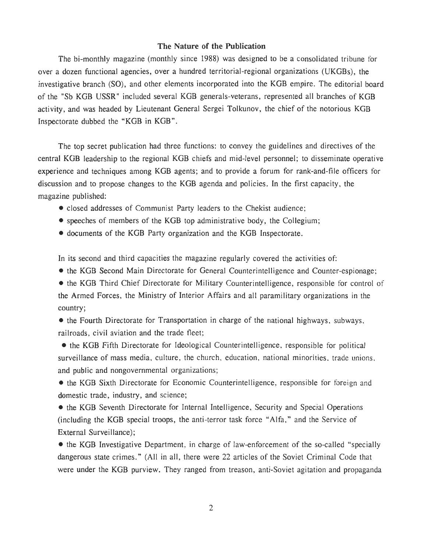#### **The Nature of the Publication**

The bi-monthly magazine (monthly since 1988) was designed to be a consolidated tribune for over a dozen functional agencies, over a hundred territorial-regional organizations (UKGBs), the investigative branch (SO), and other elements incorporated into the KGB empire. The editorial board of the "Sb KGB USSR" included several KGB generals-veterans, represented all branches of KG B activity, and was headed by Lieutenant General Sergei Tolkunov, the chief of the notorious KGB Inspectorate dubbed the "KGB in KGB" .

The top secret publication had three functions: to convey the guidelines and directives of the central KGB leadership to the regional KGB chiefs and mid-level personnel; to disseminate operative experience and techniques among KGB agents; and to provide a forum for rank-and-file officers for discussion and to propose changes to the KGB agenda and policies. In the first capacity, the magazine published:

- closed addresses of Communist Party leaders to the Chekist audience;
- speeches of members of the KGB top administrative body, the Collegium;
- documents of the KGB Party organization and the KGB Inspectorate .

In its second and third capacities the magazine regularly covered the activities of:

• the KGB Second Main Directorate for General Counterintelligence and Counter-espionage ;

• the KGB Third Chief Directorate for Military Counterintelligence, responsible for control of the Armed Forces, the Ministry of Interior Affairs and all paramilitary organizations in the country;

• the Fourth Directorate for Transportation in charge of the national highways, subways, railroads, civil aviation and the trade fleet;

• the KGB Fifth Directorate for Ideological Counterintelligence, responsible for political surveillance of mass media, culture, the church, education, national minorities, trade unions, and public and nongovernmental organizations;

• the KGB Sixth Directorate for Economic Counterintelligence, responsible for foreign and domestic trade, industry, and science;

• the KGB Seventh Directorate for Internal Intelligence, Security and Special Operations (including the KGB special troops, the anti-terror task force "Alfa," and the Service of External Surveillance);

• the KGB Investigative Department, in charge of law-enforcement of the so-called "specially" dangerous state crimes." (All in all, there were 22 articles of the Soviet Criminal Code that were under the KGB purview. They ranged from treason, anti-Soviet agitation and propaganda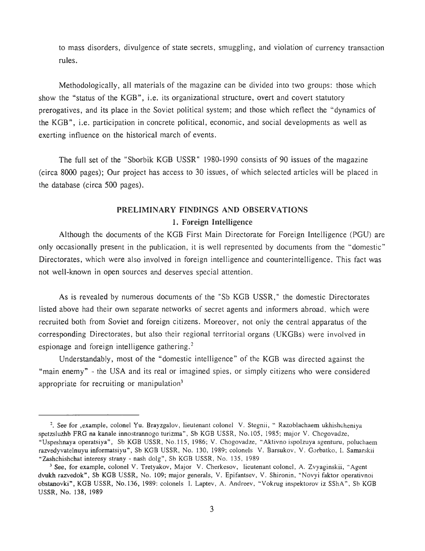to mass disorders, divulgence of state secrets, smuggling, and violation of currency transaction rules.

Methodologically, all materials of the magazine can be divided into two groups: those which show the "status of the KGB", i.e. its organizational structure, overt and covert statutory prerogatives, and its place in the Soviet political system; and those which reflect the "dynamics of the KGB", i.e. participation in concrete political, economic, and social developments as well as exerting influence on the historical march of events.

The full set of the "Sborbik KGB USSR" 1980-1990 consists of 90 issues of the magazine (circa 8000 pages); Our project has access to 30 issues, of which selected articles will be placed in the database (circa 500 pages) .

## **PRELIMINARY FINDINGS AND OBSERVATIONS <sup>1</sup> . Foreign Intelligence**

Although the documents of the KGB First Main Directorate for Foreign Intelligence (PGU) are only occasionally present in the publication, it is well represented by documents from the "domestic " Directorates, which were also involved in foreign intelligence and counterintelligence . This fact was not well-known in open sources and deserves special attention.

As is revealed by numerous documents of the "Sb KGB USSR," the domestic Directorates listed above had their own separate networks of secret agents and informers abroad, which were recruited both from Soviet and foreign citizens. Moreover, not only the central apparatus of the corresponding Directorates, but also their regional territorial organs (UKGBs) were involved in espionage and foreign intelligence gathering.<sup>2</sup>

Understandably, most of the "domestic intelligence" of the KGB was directed against the "main enemy" - the USA and its real or imagined spies, or simply citizens who were considered appropriate for recruiting or manipulation<sup>3</sup>

<sup>&</sup>lt;sup>2</sup>. See for ,example, colonel Yu. Brayzgalov, lieutenant colonel V. Stegnii, "Razoblachaem ukhishcheniya spetzsluzhb FRG na kanale innostrannogo turizma", Sb KGB USSR, No.105, 1985; major V. Chogovadze, "Uspeshnaya operatsiya", Sb KGB USSR, No.115, 1986; V. Chogovadze, "Aktivno ispolzuya agenturu, poluchaem razvedyvatelnuyu informatsiyu", Sb KGB USSR, No. 130, 1989; colonels V. Barsukov, V. Gorbatko, I. Samarskii **"Zashchishchat** interesy strany - nash dolg", Sb KGB USSR, No. 135, 1989

<sup>&</sup>lt;sup>3</sup> See, for example, colonel V. Tretyakov, Major V. Cherkesov, lieutenant colonel, A. Zvyaginskii, "Agent dvukh razvedok", Sb KGB USSR, No. 109; major generals, V. Epifantsev, V. Shironin, "Novyi faktor operativnoi obstanovki", KGB USSR, No.136, 1989: colonels I. Laptev, A. Andreev, "Vokrug inspektorov iz SShA", Sb KGB USSR, No. 138, 1989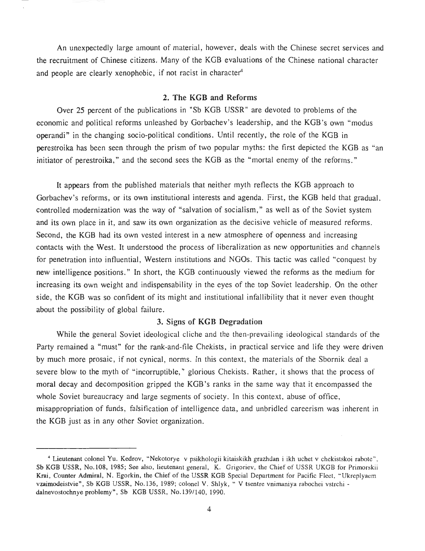An unexpectedly large amount of material, however, deals with the Chinese secret services and the recruitment of Chinese citizens. Many of the KGB evaluations of the Chinese national character and people are clearly xenophobic, if not racist in character<sup>4</sup>

#### 2 . **The KGB and Reforms**

Over 25 percent of the publications in "Sb KGB USSR" are devoted to problems of the economic and political reforms unleashed by Gorbachev's leadership, and the KGB's own "modus operandi" in the changing socio-political conditions. Until recently, the role of the KGB in perestroika has been seen through the prism of two popular myths: the first depicted the KGB as "an initiator of perestroika," and the second sees the KGB as the "mortal enemy of the reforms."

It appears from the published materials that neither myth reflects the KGB approach to Gorbachev's reforms, or its own institutional interests and agenda. First, the KGB held that gradual, controlled modernization was the way of "salvation of socialism," as well as of the Soviet system and its own place in it, and saw its own organization as the decisive vehicle of measured reforms . Second, the KGB had its own vested interest in a new atmosphere of openness and increasing contacts with the West. It understood the process of liberalization as new opportunities and channels for penetration into influential, Western institutions and NGOs. This tactic was called "conquest by new intelligence positions." In short, the KGB continuously viewed the reforms as the medium for increasing its own weight and indispensability in the eyes of the top Soviet leadership . On the other side, the KGB was so confident of its might and institutional infallibility that it never even thought about the possibility of global failure.

#### **3. Signs of KGB Degradation**

While the general Soviet ideological cliche and the then-prevailing ideological standards of the Party remained a "must" for the rank-and-file Chekists, in practical service and life they were driven by much more prosaic, if not cynical, norms . In this context, the materials of the Sbornik deal a severe blow to the myth of "incorruptible," glorious Chekists. Rather, it shows that the process of moral decay and decomposition gripped the KGB's ranks in the same way that it encompassed the whole Soviet bureaucracy and large segments of society. In this context, abuse of office, misappropriation of funds, falsification of intelligence data, and unbridled careerism was inherent in the KGB just as in any other Soviet organization.

<sup>4</sup> Lieutenant colonel Yu . Kedrov, "Nekotorye v psikhologii kitaiskikh grazhdan i ikh uchet v chekistskoi rabote" , Sb KGB USSR, No.108, 1985; See also, lieutenant general, K. Grigoriev, the Chief of USSR UKGB for Primorskii Krai, Counter Admiral, N. Egorkin, the Chief of the USSR KGB Special Department for Pacific Fleet, "Ukreplyaem vzaimodeistvie", Sb KGB USSR, No.136, 1989; colonel V. Shlyk, " V tsentre vnimaniya rabochei vstrchi dalnevostochnye problemy", Sb KGB USSR, No.139/140, 1990.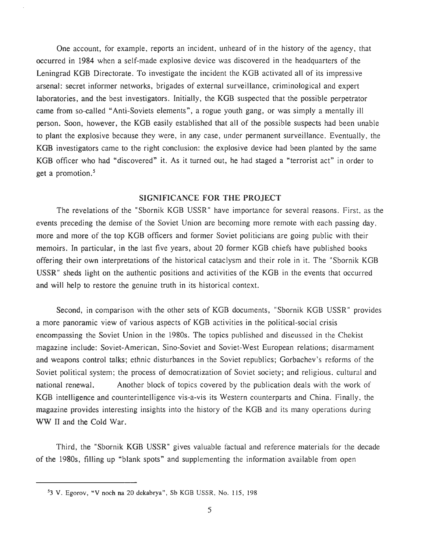One account, for example, reports an incident, unheard of in the history of the agency, that occurred in 1984 when a self-made explosive device was discovered in the headquarters of the Leningrad KGB Directorate. To investigate the incident the KGB activated all of its impressive arsenal: secret informer networks, brigades of external surveillance, criminological and expert laboratories, and the best investigators. Initially, the KGB suspected that the possible perpetrator came from so-called "Anti-Soviets elements", a rogue youth gang, or was simply a mentally ill person. Soon, however, the KGB easily established that all of the possible suspects had been unable to plant the explosive because they were, in any case, under permanent surveillance . Eventually, the KGB investigators came to the right conclusion: the explosive device had been planted by the same KGB officer who had "discovered" it. As it turned out, he had staged a "terrorist act" in order to get a promotion.<sup>5</sup>

#### **SIGNIFICANCE FOR THE PROJEC T**

The revelations of the "Sbornik KGB USSR" have importance for several reasons. First, as the events preceding the demise of the Soviet Union are becoming more remote with each passing day , more and more of the top KGB officers and former Soviet politicians are going public with their memoirs. In particular, in the last five years, about 20 former KGB chiefs have published books offering their own interpretations of the historical cataclysm and their role in it . The "Sbornik KGB USSR" sheds light on the authentic positions and activities of the KGB in the events that occurred and will help to restore the genuine truth in its historical context.

Second, in comparison with the other sets of KGB documents, "Sbornik KGB USSR" provides a more panoramic view of various aspects of KGB activities in the political-social crisis encompassing the Soviet Union in the 1980s . The topics published and discussed in the Chekist magazine include: Soviet-American, Sino-Soviet and Soviet-West European relations; disarmament and weapons control talks; ethnic disturbances in the Soviet republics; Gorbachev's reforms of the Soviet political system; the process of democratization of Soviet society; and religious, cultural and national renewal. Another block of topics covered by the publication deals with the work of KGB intelligence and counterintelligence vis-a-vis its Western counterparts and China . Finally, the magazine provides interesting insights into the history of the KGB and its many operations during WW II and the Cold War.

Third, the "Sbornik KGB USSR" gives valuable factual and reference materials for the decade of the 1980s, filling up "blank spots" and supplementing the information available from open

**<sup>5</sup>** 3 V. Egorov, "V noch na 20 dekabrya", Sb KGB USSR, No . 115, 198